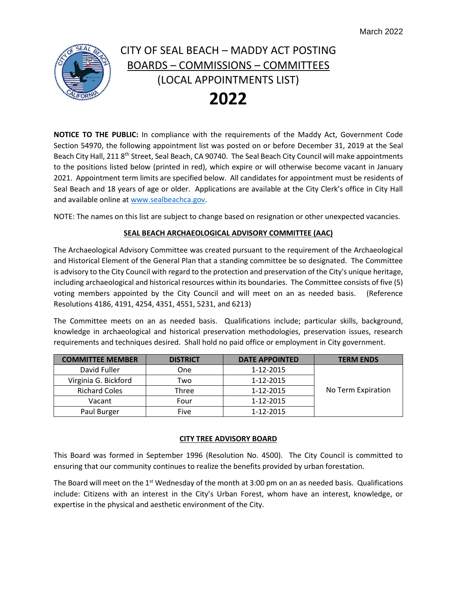

**NOTICE TO THE PUBLIC:** In compliance with the requirements of the Maddy Act, Government Code Section 54970, the following appointment list was posted on or before December 31, 2019 at the Seal Beach City Hall, 211 8<sup>th</sup> Street, Seal Beach, CA 90740. The Seal Beach City Council will make appointments to the positions listed below (printed in red), which expire or will otherwise become vacant in January 2021. Appointment term limits are specified below. All candidates for appointment must be residents of Seal Beach and 18 years of age or older. Applications are available at the City Clerk's office in City Hall and available online at [www.sealbeachca.gov.](http://www.sealbeachca.gov/)

NOTE: The names on this list are subject to change based on resignation or other unexpected vacancies.

#### **SEAL BEACH ARCHAEOLOGICAL ADVISORY COMMITTEE (AAC)**

The Archaeological Advisory Committee was created pursuant to the requirement of the Archaeological and Historical Element of the General Plan that a standing committee be so designated. The Committee is advisory to the City Council with regard to the protection and preservation of the City's unique heritage, including archaeological and historical resources within its boundaries. The Committee consists of five (5) voting members appointed by the City Council and will meet on an as needed basis. (Reference Resolutions 4186, 4191, 4254, 4351, 4551, 5231, and 6213)

The Committee meets on an as needed basis. Qualifications include; particular skills, background, knowledge in archaeological and historical preservation methodologies, preservation issues, research requirements and techniques desired. Shall hold no paid office or employment in City government.

| <b>COMMITTEE MEMBER</b> | <b>DISTRICT</b> | <b>DATE APPOINTED</b> | <b>TERM ENDS</b>   |
|-------------------------|-----------------|-----------------------|--------------------|
| David Fuller            | One             | 1-12-2015             |                    |
| Virginia G. Bickford    | Two             | 1-12-2015             |                    |
| <b>Richard Coles</b>    | Three           | 1-12-2015             | No Term Expiration |
| Vacant                  | Four            | 1-12-2015             |                    |
| Paul Burger             | Five            | 1-12-2015             |                    |

#### **CITY TREE ADVISORY BOARD**

This Board was formed in September 1996 (Resolution No. 4500). The City Council is committed to ensuring that our community continues to realize the benefits provided by urban forestation.

The Board will meet on the  $1<sup>st</sup>$  Wednesday of the month at 3:00 pm on an as needed basis. Qualifications include: Citizens with an interest in the City's Urban Forest, whom have an interest, knowledge, or expertise in the physical and aesthetic environment of the City.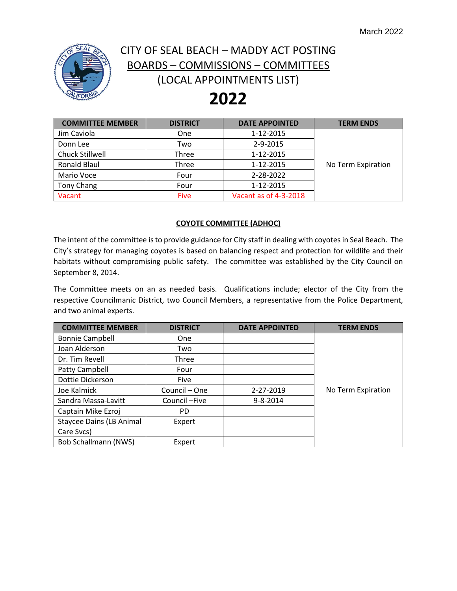

### CITY OF SEAL BEACH – MADDY ACT POSTING BOARDS – COMMISSIONS – COMMITTEES (LOCAL APPOINTMENTS LIST)

# **2022**

| <b>COMMITTEE MEMBER</b> | <b>DISTRICT</b> | <b>DATE APPOINTED</b> | <b>TERM ENDS</b>   |
|-------------------------|-----------------|-----------------------|--------------------|
| Jim Caviola             | One             | 1-12-2015             |                    |
| Donn Lee                | Two             | 2-9-2015              |                    |
| Chuck Stillwell         | Three           | 1-12-2015             |                    |
| <b>Ronald Blaul</b>     | Three           | 1-12-2015             | No Term Expiration |
| Mario Voce              | Four            | 2-28-2022             |                    |
| Tony Chang              | Four            | 1-12-2015             |                    |
| Vacant                  | <b>Five</b>     | Vacant as of 4-3-2018 |                    |

#### **COYOTE COMMITTEE (ADHOC)**

The intent of the committee is to provide guidance for City staff in dealing with coyotes in Seal Beach. The City's strategy for managing coyotes is based on balancing respect and protection for wildlife and their habitats without compromising public safety. The committee was established by the City Council on September 8, 2014.

The Committee meets on an as needed basis. Qualifications include; elector of the City from the respective Councilmanic District, two Council Members, a representative from the Police Department, and two animal experts.

| <b>COMMITTEE MEMBER</b>         | <b>DISTRICT</b> | <b>DATE APPOINTED</b> | <b>TERM ENDS</b>   |
|---------------------------------|-----------------|-----------------------|--------------------|
| <b>Bonnie Campbell</b>          | <b>One</b>      |                       |                    |
| Joan Alderson                   | Two             |                       |                    |
| Dr. Tim Revell                  | Three           |                       |                    |
| Patty Campbell                  | Four            |                       |                    |
| Dottie Dickerson                | <b>Five</b>     |                       |                    |
| Joe Kalmick                     | Council - One   | 2-27-2019             | No Term Expiration |
| Sandra Massa-Lavitt             | Council-Five    | 9-8-2014              |                    |
| Captain Mike Ezroj              | PD.             |                       |                    |
| <b>Staycee Dains (LB Animal</b> | Expert          |                       |                    |
| Care Svcs)                      |                 |                       |                    |
| <b>Bob Schallmann (NWS)</b>     | Expert          |                       |                    |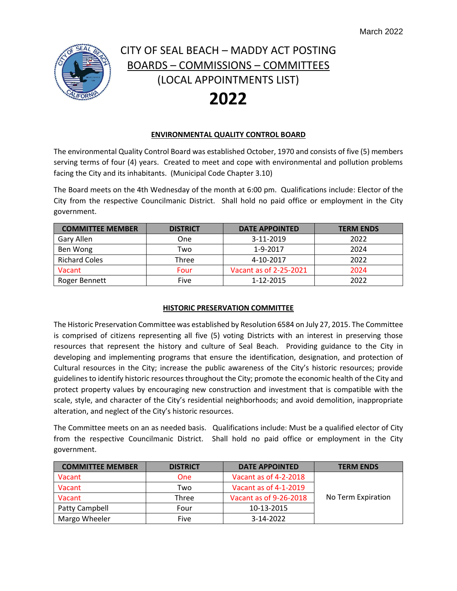

#### **ENVIRONMENTAL QUALITY CONTROL BOARD**

The environmental Quality Control Board was established October, 1970 and consists of five (5) members serving terms of four (4) years. Created to meet and cope with environmental and pollution problems facing the City and its inhabitants. (Municipal Code Chapter 3.10)

The Board meets on the 4th Wednesday of the month at 6:00 pm. Qualifications include: Elector of the City from the respective Councilmanic District. Shall hold no paid office or employment in the City government.

| <b>COMMITTEE MEMBER</b> | <b>DISTRICT</b> | <b>DATE APPOINTED</b>  | <b>TERM ENDS</b> |
|-------------------------|-----------------|------------------------|------------------|
| Gary Allen              | One             | 3-11-2019              | 2022             |
| Ben Wong                | Two             | 1-9-2017               | 2024             |
| <b>Richard Coles</b>    | Three           | 4-10-2017              | 2022             |
| Vacant                  | Four            | Vacant as of 2-25-2021 | 2024             |
| Roger Bennett           | Five            | 1-12-2015              | 2022             |

#### **HISTORIC PRESERVATION COMMITTEE**

The Historic Preservation Committee was established by Resolution 6584 on July 27, 2015. The Committee is comprised of citizens representing all five (5) voting Districts with an interest in preserving those resources that represent the history and culture of Seal Beach. Providing guidance to the City in developing and implementing programs that ensure the identification, designation, and protection of Cultural resources in the City; increase the public awareness of the City's historic resources; provide guidelines to identify historic resources throughout the City; promote the economic health of the City and protect property values by encouraging new construction and investment that is compatible with the scale, style, and character of the City's residential neighborhoods; and avoid demolition, inappropriate alteration, and neglect of the City's historic resources.

The Committee meets on an as needed basis. Qualifications include: Must be a qualified elector of City from the respective Councilmanic District. Shall hold no paid office or employment in the City government.

| <b>COMMITTEE MEMBER</b> | <b>DISTRICT</b> | <b>DATE APPOINTED</b>  | <b>TERM ENDS</b>   |
|-------------------------|-----------------|------------------------|--------------------|
| Vacant                  | <b>One</b>      | Vacant as of 4-2-2018  |                    |
| Vacant                  | Two             | Vacant as of 4-1-2019  |                    |
| Vacant                  | Three           | Vacant as of 9-26-2018 | No Term Expiration |
| Patty Campbell          | Four            | 10-13-2015             |                    |
| Margo Wheeler           | Five            | $3-14-2022$            |                    |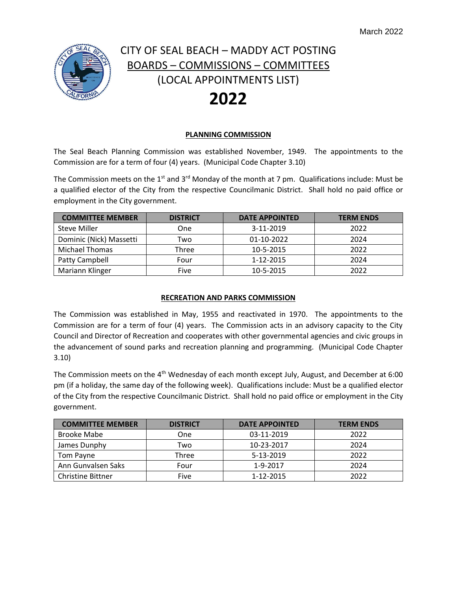

#### **PLANNING COMMISSION**

The Seal Beach Planning Commission was established November, 1949. The appointments to the Commission are for a term of four (4) years. (Municipal Code Chapter 3.10)

The Commission meets on the 1<sup>st</sup> and 3<sup>rd</sup> Monday of the month at 7 pm. Qualifications include: Must be a qualified elector of the City from the respective Councilmanic District. Shall hold no paid office or employment in the City government.

| <b>COMMITTEE MEMBER</b> | <b>DISTRICT</b> | <b>DATE APPOINTED</b> | <b>TERM ENDS</b> |
|-------------------------|-----------------|-----------------------|------------------|
| <b>Steve Miller</b>     | One             | 3-11-2019             | 2022             |
| Dominic (Nick) Massetti | Two             | 01-10-2022            | 2024             |
| <b>Michael Thomas</b>   | Three           | 10-5-2015             | 2022             |
| Patty Campbell          | Four            | 1-12-2015             | 2024             |
| Mariann Klinger         | Five            | 10-5-2015             | 2022             |

#### **RECREATION AND PARKS COMMISSION**

The Commission was established in May, 1955 and reactivated in 1970. The appointments to the Commission are for a term of four (4) years. The Commission acts in an advisory capacity to the City Council and Director of Recreation and cooperates with other governmental agencies and civic groups in the advancement of sound parks and recreation planning and programming. (Municipal Code Chapter 3.10)

The Commission meets on the  $4<sup>th</sup>$  Wednesday of each month except July, August, and December at 6:00 pm (if a holiday, the same day of the following week). Qualifications include: Must be a qualified elector of the City from the respective Councilmanic District. Shall hold no paid office or employment in the City government.

| <b>COMMITTEE MEMBER</b>  | <b>DISTRICT</b> | <b>DATE APPOINTED</b> | <b>TERM ENDS</b> |
|--------------------------|-----------------|-----------------------|------------------|
| Brooke Mabe              | One             | 03-11-2019            | 2022             |
| James Dunphy             | Two             | 10-23-2017            | 2024             |
| Tom Payne                | Three           | 5-13-2019             | 2022             |
| Ann Gunvalsen Saks       | Four            | 1-9-2017              | 2024             |
| <b>Christine Bittner</b> | Five            | 1-12-2015             | 2022             |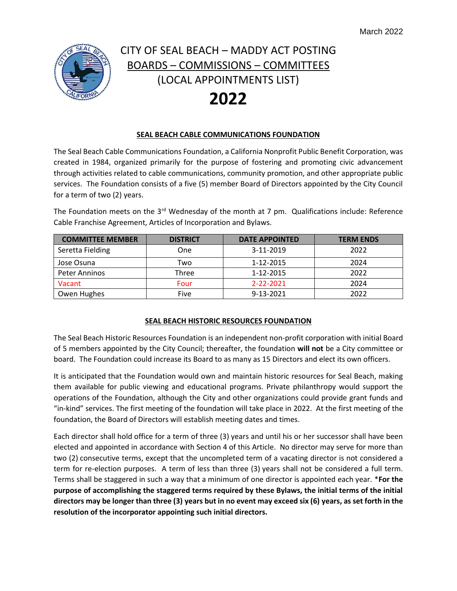

#### **SEAL BEACH CABLE COMMUNICATIONS FOUNDATION**

The Seal Beach Cable Communications Foundation, a California Nonprofit Public Benefit Corporation, was created in 1984, organized primarily for the purpose of fostering and promoting civic advancement through activities related to cable communications, community promotion, and other appropriate public services. The Foundation consists of a five (5) member Board of Directors appointed by the City Council for a term of two (2) years.

The Foundation meets on the  $3<sup>rd</sup>$  Wednesday of the month at 7 pm. Qualifications include: Reference Cable Franchise Agreement, Articles of Incorporation and Bylaws.

| <b>COMMITTEE MEMBER</b> | <b>DISTRICT</b> | <b>DATE APPOINTED</b> | <b>TERM ENDS</b> |
|-------------------------|-----------------|-----------------------|------------------|
| Seretta Fielding        | One             | 3-11-2019             | 2022             |
| Jose Osuna              | Two             | 1-12-2015             | 2024             |
| <b>Peter Anninos</b>    | Three           | 1-12-2015             | 2022             |
| Vacant                  | Four            | 2-22-2021             | 2024             |
| Owen Hughes             | Five            | 9-13-2021             | 2022             |

#### **SEAL BEACH HISTORIC RESOURCES FOUNDATION**

The Seal Beach Historic Resources Foundation is an independent non-profit corporation with initial Board of 5 members appointed by the City Council; thereafter, the foundation **will not** be a City committee or board. The Foundation could increase its Board to as many as 15 Directors and elect its own officers.

It is anticipated that the Foundation would own and maintain historic resources for Seal Beach, making them available for public viewing and educational programs. Private philanthropy would support the operations of the Foundation, although the City and other organizations could provide grant funds and "in-kind" services. The first meeting of the foundation will take place in 2022. At the first meeting of the foundation, the Board of Directors will establish meeting dates and times.

Each director shall hold office for a term of three (3) years and until his or her successor shall have been elected and appointed in accordance with Section 4 of this Article. No director may serve for more than two (2) consecutive terms, except that the uncompleted term of a vacating director is not considered a term for re-election purposes. A term of less than three (3) years shall not be considered a full term. Terms shall be staggered in such a way that a minimum of one director is appointed each year. \***For the purpose of accomplishing the staggered terms required by these Bylaws, the initial terms of the initial directors may be longer than three (3) years but in no event may exceed six (6) years, as set forth in the resolution of the incorporator appointing such initial directors.**